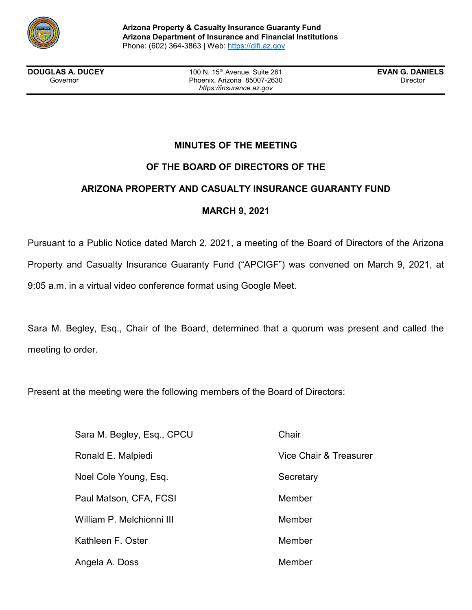

**DOUGLAS A. DUCEY** 100 N. 15<sup>th</sup> Avenue, Suite 261 **EVAN G. DANIELS**<br>Governor **Covernor** Phoenix, Arizona 85007-2630 Phoenix, Arizona 85007-2630 *https://insurance.az.gov*

# **MINUTES OF THE MEETING**

# **OF THE BOARD OF DIRECTORS OF THE**

## **ARIZONA PROPERTY AND CASUALTY INSURANCE GUARANTY FUND**

## **MARCH 9, 2021**

Pursuant to a Public Notice dated March 2, 2021, a meeting of the Board of Directors of the Arizona Property and Casualty Insurance Guaranty Fund ("APCIGF") was convened on March 9, 2021, at 9:05 a.m. in a virtual video conference format using Google Meet.

Sara M. Begley, Esq., Chair of the Board, determined that a quorum was present and called the meeting to order.

Vice Chair & Treasurer

Secretary

**Member** 

Member

Member

Member

Present at the meeting were the following members of the Board of Directors:

| Sara M. Begley, Esq., CPCU | Chair |
|----------------------------|-------|
| Ronald E. Malpiedi         | Vice  |
| Noel Cole Young, Esq.      | Secre |
| Paul Matson, CFA, FCSI     | Meml  |
| William P. Melchionni III  | Meml  |
| Kathleen F. Oster          | Meml  |
| Angela A. Doss             | Meml  |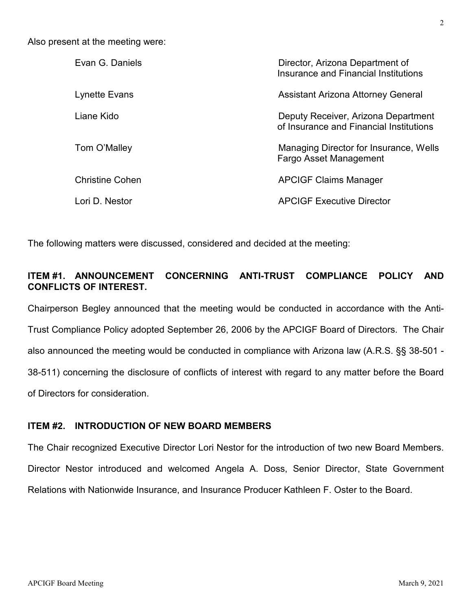Also present at the meeting were:

| Evan G. Daniels        | Director, Arizona Department of<br>Insurance and Financial Institutions        |
|------------------------|--------------------------------------------------------------------------------|
| Lynette Evans          | Assistant Arizona Attorney General                                             |
| Liane Kido             | Deputy Receiver, Arizona Department<br>of Insurance and Financial Institutions |
| Tom O'Malley           | Managing Director for Insurance, Wells<br>Fargo Asset Management               |
| <b>Christine Cohen</b> | <b>APCIGF Claims Manager</b>                                                   |
| Lori D. Nestor         | <b>APCIGF Executive Director</b>                                               |

The following matters were discussed, considered and decided at the meeting:

## **ITEM #1. ANNOUNCEMENT CONCERNING ANTI-TRUST COMPLIANCE POLICY AND CONFLICTS OF INTEREST.**

Chairperson Begley announced that the meeting would be conducted in accordance with the Anti-Trust Compliance Policy adopted September 26, 2006 by the APCIGF Board of Directors. The Chair also announced the meeting would be conducted in compliance with Arizona law (A.R.S. §§ 38-501 - 38-511) concerning the disclosure of conflicts of interest with regard to any matter before the Board of Directors for consideration.

### **ITEM #2. INTRODUCTION OF NEW BOARD MEMBERS**

The Chair recognized Executive Director Lori Nestor for the introduction of two new Board Members. Director Nestor introduced and welcomed Angela A. Doss, Senior Director, State Government Relations with Nationwide Insurance, and Insurance Producer Kathleen F. Oster to the Board.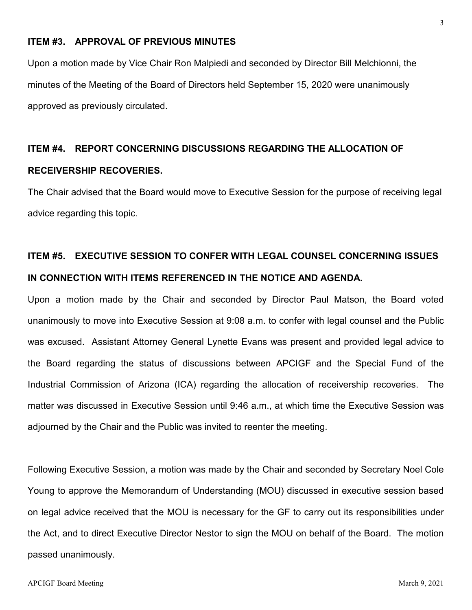### **ITEM #3. APPROVAL OF PREVIOUS MINUTES**

Upon a motion made by Vice Chair Ron Malpiedi and seconded by Director Bill Melchionni, the minutes of the Meeting of the Board of Directors held September 15, 2020 were unanimously approved as previously circulated.

### **ITEM #4. REPORT CONCERNING DISCUSSIONS REGARDING THE ALLOCATION OF**

### **RECEIVERSHIP RECOVERIES.**

The Chair advised that the Board would move to Executive Session for the purpose of receiving legal advice regarding this topic.

# **ITEM #5. EXECUTIVE SESSION TO CONFER WITH LEGAL COUNSEL CONCERNING ISSUES IN CONNECTION WITH ITEMS REFERENCED IN THE NOTICE AND AGENDA.**

Upon a motion made by the Chair and seconded by Director Paul Matson, the Board voted unanimously to move into Executive Session at 9:08 a.m. to confer with legal counsel and the Public was excused. Assistant Attorney General Lynette Evans was present and provided legal advice to the Board regarding the status of discussions between APCIGF and the Special Fund of the Industrial Commission of Arizona (ICA) regarding the allocation of receivership recoveries. The matter was discussed in Executive Session until 9:46 a.m., at which time the Executive Session was adjourned by the Chair and the Public was invited to reenter the meeting.

Following Executive Session, a motion was made by the Chair and seconded by Secretary Noel Cole Young to approve the Memorandum of Understanding (MOU) discussed in executive session based on legal advice received that the MOU is necessary for the GF to carry out its responsibilities under the Act, and to direct Executive Director Nestor to sign the MOU on behalf of the Board. The motion passed unanimously.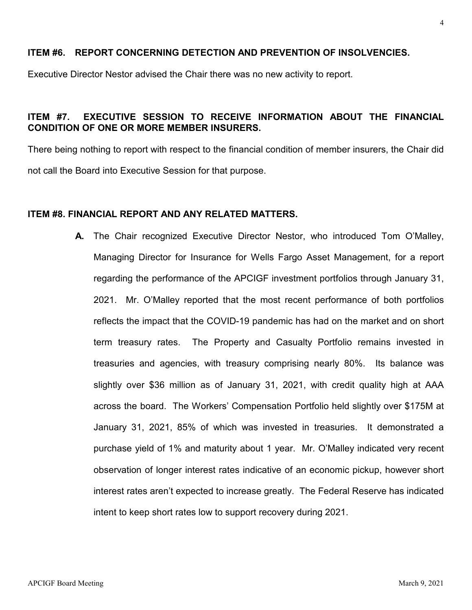### **ITEM #6. REPORT CONCERNING DETECTION AND PREVENTION OF INSOLVENCIES.**

Executive Director Nestor advised the Chair there was no new activity to report.

## **ITEM #7. EXECUTIVE SESSION TO RECEIVE INFORMATION ABOUT THE FINANCIAL CONDITION OF ONE OR MORE MEMBER INSURERS.**

There being nothing to report with respect to the financial condition of member insurers, the Chair did not call the Board into Executive Session for that purpose.

### **ITEM #8. FINANCIAL REPORT AND ANY RELATED MATTERS.**

**A.** The Chair recognized Executive Director Nestor, who introduced Tom O'Malley, Managing Director for Insurance for Wells Fargo Asset Management, for a report regarding the performance of the APCIGF investment portfolios through January 31, 2021. Mr. O'Malley reported that the most recent performance of both portfolios reflects the impact that the COVID-19 pandemic has had on the market and on short term treasury rates. The Property and Casualty Portfolio remains invested in treasuries and agencies, with treasury comprising nearly 80%. Its balance was slightly over \$36 million as of January 31, 2021, with credit quality high at AAA across the board. The Workers' Compensation Portfolio held slightly over \$175M at January 31, 2021, 85% of which was invested in treasuries. It demonstrated a purchase yield of 1% and maturity about 1 year. Mr. O'Malley indicated very recent observation of longer interest rates indicative of an economic pickup, however short interest rates aren't expected to increase greatly. The Federal Reserve has indicated intent to keep short rates low to support recovery during 2021.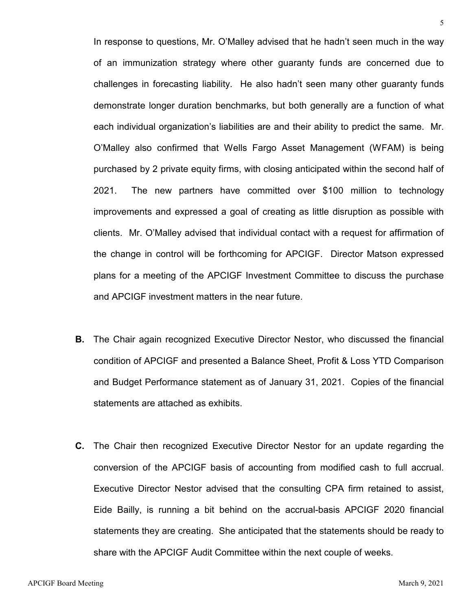In response to questions, Mr. O'Malley advised that he hadn't seen much in the way of an immunization strategy where other guaranty funds are concerned due to challenges in forecasting liability. He also hadn't seen many other guaranty funds demonstrate longer duration benchmarks, but both generally are a function of what each individual organization's liabilities are and their ability to predict the same. Mr. O'Malley also confirmed that Wells Fargo Asset Management (WFAM) is being purchased by 2 private equity firms, with closing anticipated within the second half of 2021. The new partners have committed over \$100 million to technology improvements and expressed a goal of creating as little disruption as possible with clients. Mr. O'Malley advised that individual contact with a request for affirmation of the change in control will be forthcoming for APCIGF. Director Matson expressed plans for a meeting of the APCIGF Investment Committee to discuss the purchase and APCIGF investment matters in the near future.

- **B.** The Chair again recognized Executive Director Nestor, who discussed the financial condition of APCIGF and presented a Balance Sheet, Profit & Loss YTD Comparison and Budget Performance statement as of January 31, 2021. Copies of the financial statements are attached as exhibits.
- **C.** The Chair then recognized Executive Director Nestor for an update regarding the conversion of the APCIGF basis of accounting from modified cash to full accrual. Executive Director Nestor advised that the consulting CPA firm retained to assist, Eide Bailly, is running a bit behind on the accrual-basis APCIGF 2020 financial statements they are creating. She anticipated that the statements should be ready to share with the APCIGF Audit Committee within the next couple of weeks.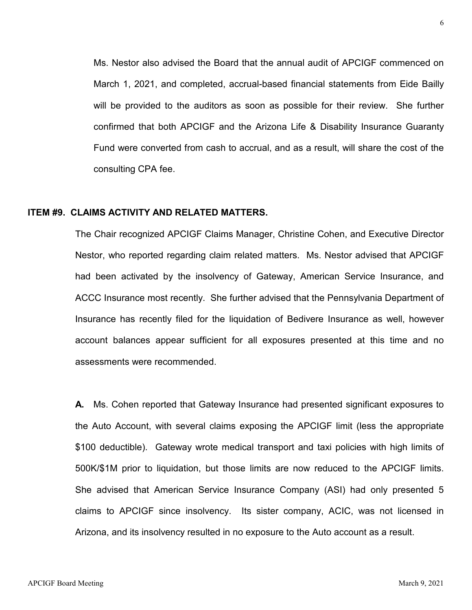Ms. Nestor also advised the Board that the annual audit of APCIGF commenced on March 1, 2021, and completed, accrual-based financial statements from Eide Bailly will be provided to the auditors as soon as possible for their review. She further confirmed that both APCIGF and the Arizona Life & Disability Insurance Guaranty Fund were converted from cash to accrual, and as a result, will share the cost of the consulting CPA fee.

### **ITEM #9. CLAIMS ACTIVITY AND RELATED MATTERS.**

The Chair recognized APCIGF Claims Manager, Christine Cohen, and Executive Director Nestor, who reported regarding claim related matters. Ms. Nestor advised that APCIGF had been activated by the insolvency of Gateway, American Service Insurance, and ACCC Insurance most recently. She further advised that the Pennsylvania Department of Insurance has recently filed for the liquidation of Bedivere Insurance as well, however account balances appear sufficient for all exposures presented at this time and no assessments were recommended.

**A.** Ms. Cohen reported that Gateway Insurance had presented significant exposures to the Auto Account, with several claims exposing the APCIGF limit (less the appropriate \$100 deductible). Gateway wrote medical transport and taxi policies with high limits of 500K/\$1M prior to liquidation, but those limits are now reduced to the APCIGF limits. She advised that American Service Insurance Company (ASI) had only presented 5 claims to APCIGF since insolvency. Its sister company, ACIC, was not licensed in Arizona, and its insolvency resulted in no exposure to the Auto account as a result.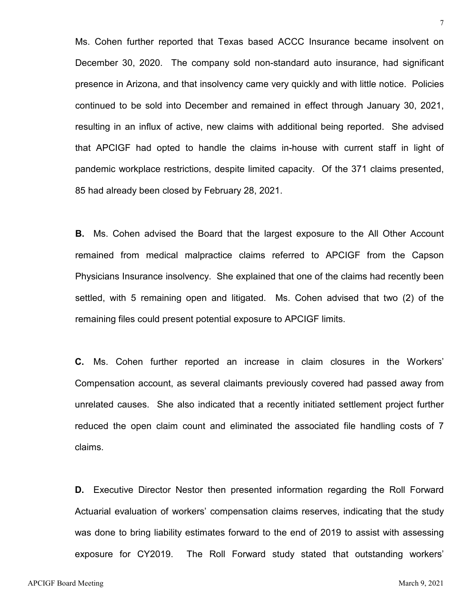Ms. Cohen further reported that Texas based ACCC Insurance became insolvent on December 30, 2020. The company sold non-standard auto insurance, had significant presence in Arizona, and that insolvency came very quickly and with little notice. Policies continued to be sold into December and remained in effect through January 30, 2021, resulting in an influx of active, new claims with additional being reported. She advised that APCIGF had opted to handle the claims in-house with current staff in light of pandemic workplace restrictions, despite limited capacity. Of the 371 claims presented, 85 had already been closed by February 28, 2021.

**B.** Ms. Cohen advised the Board that the largest exposure to the All Other Account remained from medical malpractice claims referred to APCIGF from the Capson Physicians Insurance insolvency. She explained that one of the claims had recently been settled, with 5 remaining open and litigated. Ms. Cohen advised that two (2) of the remaining files could present potential exposure to APCIGF limits.

**C.** Ms. Cohen further reported an increase in claim closures in the Workers' Compensation account, as several claimants previously covered had passed away from unrelated causes. She also indicated that a recently initiated settlement project further reduced the open claim count and eliminated the associated file handling costs of 7 claims.

**D.** Executive Director Nestor then presented information regarding the Roll Forward Actuarial evaluation of workers' compensation claims reserves, indicating that the study was done to bring liability estimates forward to the end of 2019 to assist with assessing exposure for CY2019. The Roll Forward study stated that outstanding workers'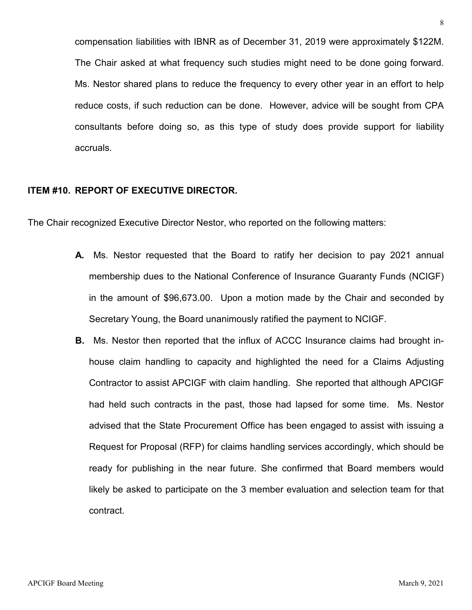compensation liabilities with IBNR as of December 31, 2019 were approximately \$122M. The Chair asked at what frequency such studies might need to be done going forward. Ms. Nestor shared plans to reduce the frequency to every other year in an effort to help reduce costs, if such reduction can be done. However, advice will be sought from CPA consultants before doing so, as this type of study does provide support for liability accruals.

### **ITEM #10. REPORT OF EXECUTIVE DIRECTOR.**

The Chair recognized Executive Director Nestor, who reported on the following matters:

- **A.** Ms. Nestor requested that the Board to ratify her decision to pay 2021 annual membership dues to the National Conference of Insurance Guaranty Funds (NCIGF) in the amount of \$96,673.00. Upon a motion made by the Chair and seconded by Secretary Young, the Board unanimously ratified the payment to NCIGF.
- **B.** Ms. Nestor then reported that the influx of ACCC Insurance claims had brought inhouse claim handling to capacity and highlighted the need for a Claims Adjusting Contractor to assist APCIGF with claim handling. She reported that although APCIGF had held such contracts in the past, those had lapsed for some time. Ms. Nestor advised that the State Procurement Office has been engaged to assist with issuing a Request for Proposal (RFP) for claims handling services accordingly, which should be ready for publishing in the near future. She confirmed that Board members would likely be asked to participate on the 3 member evaluation and selection team for that contract.